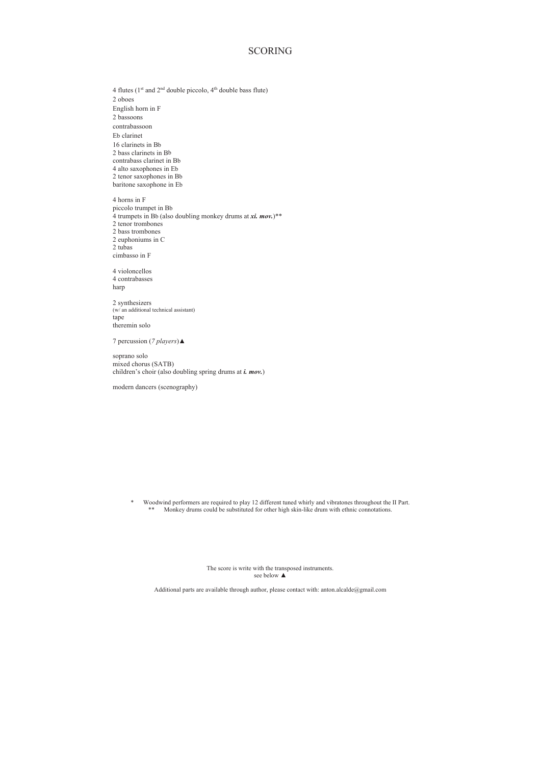## SCORING

4 flutes ( $1<sup>st</sup>$  and  $2<sup>nd</sup>$  double piccolo,  $4<sup>th</sup>$  double bass flute) 2 oboes English horn in F 2 bassoons contrabassoon Eb clarinet 16 clarinets in Bb 2 bass clarinets in Bb contrabass clarinet in Bb 4 alto saxophones in Eb 2 tenor saxophones in Bb baritone saxophone in Eb 4 horns in F

piccolo trumpet in Bb  $\overrightarrow{4}$  trumpets in Bb (also doubling monkey drums at *xi. mov.*)\*\* 2 tenor trombones 2 bass trombones 2 euphoniums in C 2 tubas cimbasso in F

4 violoncellos 4 contrabasses harp

2 synthesizers (w/ an additional technical assistant) tape theremin solo

7 percussion (*7 players*) **△** 

soprano solo mixed chorus (SATB) children's choir (also doubling spring drums at *i. mov.*)

modern dancers (scenography)

\* Woodwind performers are required to play 12 different tuned whirly and vibratones throughout the II Part. Monkey drums could be substituted for other high skin-like drum with ethnic connotations.

> The score is write with the transposed instruments. see below  $\blacktriangle$

Additional parts are available through author, please contact with: anton.alcalde@gmail.com